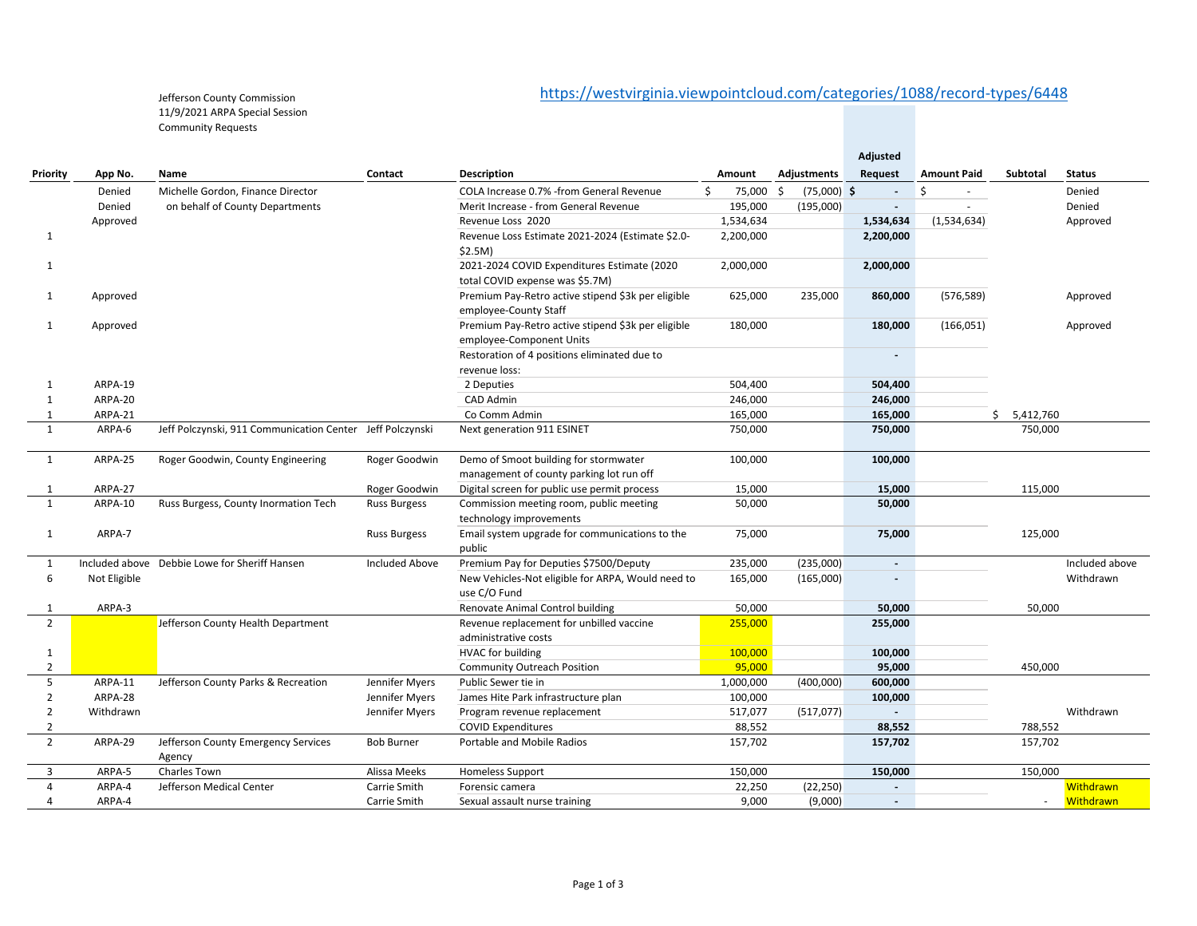## https://westvirginia.viewpointcloud.com/categories/1088/record‐types/6448

Jefferson County Commission 11/9/2021 ARPA Special Session Community Requests

|                |              |                                                           |                       |                                                                                   |              |                     | Adjusted                 |                    |             |                |
|----------------|--------------|-----------------------------------------------------------|-----------------------|-----------------------------------------------------------------------------------|--------------|---------------------|--------------------------|--------------------|-------------|----------------|
| Priority       | App No.      | Name                                                      | Contact               | <b>Description</b>                                                                | Amount       | Adjustments         | Request                  | <b>Amount Paid</b> | Subtotal    | <b>Status</b>  |
|                | Denied       | Michelle Gordon, Finance Director                         |                       | COLA Increase 0.7% - from General Revenue                                         | \$<br>75,000 | \$<br>$(75,000)$ \$ |                          | Ŝ.                 |             | Denied         |
|                | Denied       | on behalf of County Departments                           |                       | Merit Increase - from General Revenue                                             | 195,000      | (195,000)           | $\blacksquare$           |                    |             | Denied         |
|                | Approved     |                                                           |                       | Revenue Loss 2020                                                                 | 1,534,634    |                     | 1,534,634                | (1,534,634)        |             | Approved       |
| 1              |              |                                                           |                       | Revenue Loss Estimate 2021-2024 (Estimate \$2.0-<br>\$2.5M)                       | 2,200,000    |                     | 2,200,000                |                    |             |                |
| 1              |              |                                                           |                       | 2021-2024 COVID Expenditures Estimate (2020<br>total COVID expense was \$5.7M)    | 2,000,000    |                     | 2,000,000                |                    |             |                |
| 1              | Approved     |                                                           |                       | Premium Pay-Retro active stipend \$3k per eligible<br>employee-County Staff       | 625,000      | 235,000             | 860,000                  | (576, 589)         |             | Approved       |
| 1              | Approved     |                                                           |                       | Premium Pay-Retro active stipend \$3k per eligible<br>employee-Component Units    | 180,000      |                     | 180,000                  | (166, 051)         |             | Approved       |
|                |              |                                                           |                       | Restoration of 4 positions eliminated due to<br>revenue loss:                     |              |                     | $\sim$                   |                    |             |                |
| 1              | ARPA-19      |                                                           |                       | 2 Deputies                                                                        | 504,400      |                     | 504,400                  |                    |             |                |
| 1              | ARPA-20      |                                                           |                       | CAD Admin                                                                         | 246,000      |                     | 246,000                  |                    |             |                |
| 1              | ARPA-21      |                                                           |                       | Co Comm Admin                                                                     | 165,000      |                     | 165,000                  |                    | \$5,412,760 |                |
| 1              | ARPA-6       | Jeff Polczynski, 911 Communication Center Jeff Polczynski |                       | Next generation 911 ESINET                                                        | 750,000      |                     | 750,000                  |                    | 750,000     |                |
| $\mathbf{1}$   | ARPA-25      | Roger Goodwin, County Engineering                         | Roger Goodwin         | Demo of Smoot building for stormwater<br>management of county parking lot run off | 100,000      |                     | 100,000                  |                    |             |                |
| 1              | ARPA-27      |                                                           | Roger Goodwin         | Digital screen for public use permit process                                      | 15,000       |                     | 15,000                   |                    | 115,000     |                |
| $\mathbf{1}$   | ARPA-10      | Russ Burgess, County Inormation Tech                      | <b>Russ Burgess</b>   | Commission meeting room, public meeting                                           | 50,000       |                     | 50,000                   |                    |             |                |
|                |              |                                                           |                       | technology improvements                                                           |              |                     |                          |                    |             |                |
| $\mathbf{1}$   | ARPA-7       |                                                           | <b>Russ Burgess</b>   | Email system upgrade for communications to the<br>public                          | 75,000       |                     | 75,000                   |                    | 125,000     |                |
| 1              |              | Included above Debbie Lowe for Sheriff Hansen             | <b>Included Above</b> | Premium Pay for Deputies \$7500/Deputy                                            | 235,000      | (235,000)           | $\overline{a}$           |                    |             | Included above |
| 6              | Not Eligible |                                                           |                       | New Vehicles-Not eligible for ARPA, Would need to<br>use C/O Fund                 | 165,000      | (165,000)           |                          |                    |             | Withdrawn      |
| $\mathbf 1$    | ARPA-3       |                                                           |                       | Renovate Animal Control building                                                  | 50,000       |                     | 50,000                   |                    | 50,000      |                |
| $\overline{2}$ |              | Jefferson County Health Department                        |                       | Revenue replacement for unbilled vaccine<br>administrative costs                  | 255,000      |                     | 255,000                  |                    |             |                |
| $\mathbf{1}$   |              |                                                           |                       | <b>HVAC</b> for building                                                          | 100,000      |                     | 100,000                  |                    |             |                |
| $\overline{2}$ |              |                                                           |                       | <b>Community Outreach Position</b>                                                | 95,000       |                     | 95,000                   |                    | 450,000     |                |
| 5              | ARPA-11      | Jefferson County Parks & Recreation                       | Jennifer Myers        | Public Sewer tie in                                                               | 1,000,000    | (400,000)           | 600,000                  |                    |             |                |
| $\overline{2}$ | ARPA-28      |                                                           | Jennifer Myers        | James Hite Park infrastructure plan                                               | 100,000      |                     | 100,000                  |                    |             |                |
| $\overline{2}$ | Withdrawn    |                                                           | Jennifer Myers        | Program revenue replacement                                                       | 517,077      | (517, 077)          | $\blacksquare$           |                    |             | Withdrawn      |
| 2              |              |                                                           |                       | <b>COVID Expenditures</b>                                                         | 88,552       |                     | 88,552                   |                    | 788,552     |                |
| $\overline{2}$ | ARPA-29      | Jefferson County Emergency Services<br>Agency             | <b>Bob Burner</b>     | Portable and Mobile Radios                                                        | 157,702      |                     | 157,702                  |                    | 157,702     |                |
| 3              | ARPA-5       | Charles Town                                              | Alissa Meeks          | <b>Homeless Support</b>                                                           | 150,000      |                     | 150,000                  |                    | 150,000     |                |
| 4              | ARPA-4       | Jefferson Medical Center                                  | Carrie Smith          | Forensic camera                                                                   | 22,250       | (22, 250)           |                          |                    |             | Withdrawn      |
| 4              | ARPA-4       |                                                           | Carrie Smith          | Sexual assault nurse training                                                     | 9,000        | (9,000)             | $\overline{\phantom{a}}$ |                    | $\sim$      | Withdrawn      |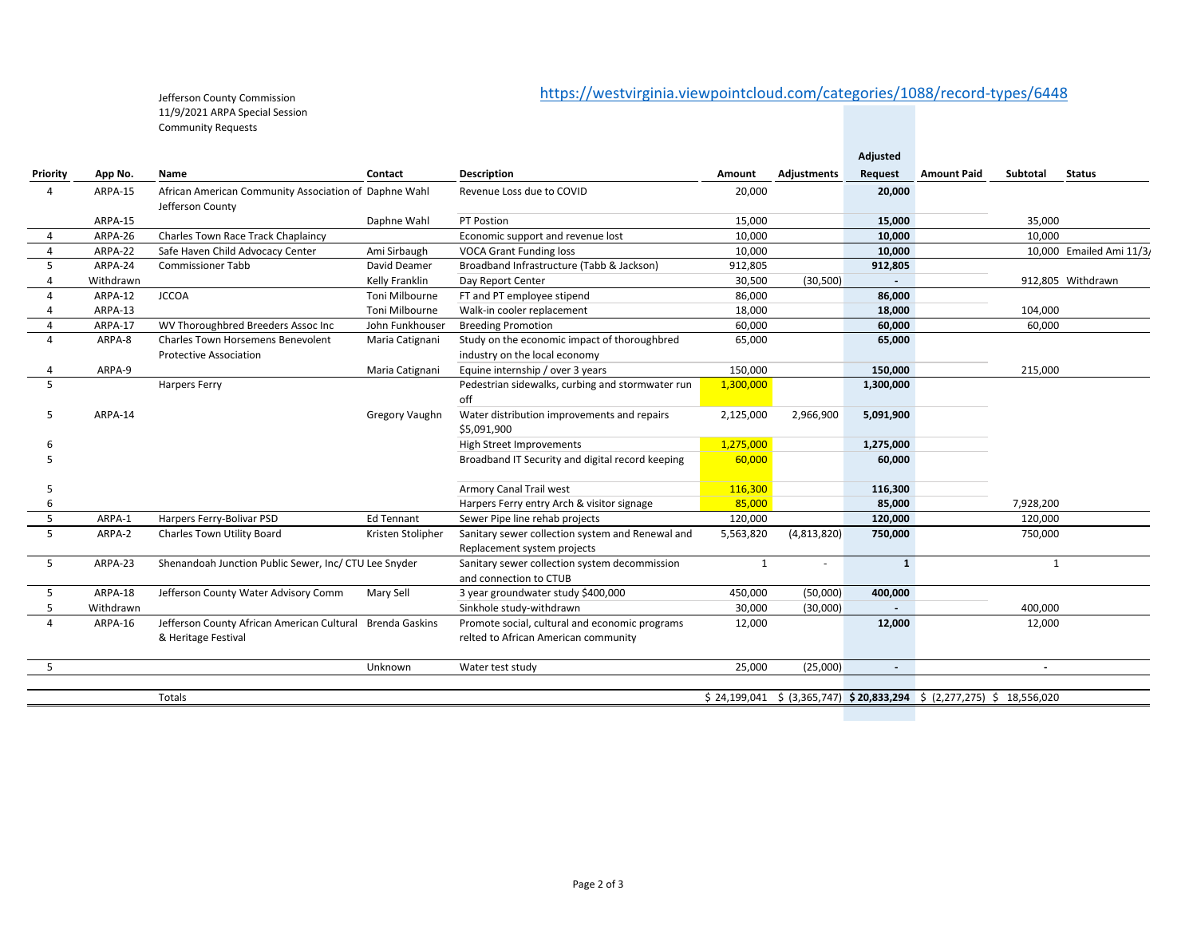## https://westvirginia.viewpointcloud.com/categories/1088/record‐types/6448

Jefferson County Commission 11/9/2021 ARPA Special Session Community Requests

|                |           |                                                                           |                       |                                                                                        |              |             | Adjusted                 |                                                                         |           |                          |
|----------------|-----------|---------------------------------------------------------------------------|-----------------------|----------------------------------------------------------------------------------------|--------------|-------------|--------------------------|-------------------------------------------------------------------------|-----------|--------------------------|
| Priority       | App No.   | Name                                                                      | Contact               | <b>Description</b>                                                                     | Amount       | Adjustments | Request                  | <b>Amount Paid</b>                                                      | Subtotal  | <b>Status</b>            |
| $\overline{a}$ | ARPA-15   | African American Community Association of Daphne Wahl<br>Jefferson County |                       | Revenue Loss due to COVID                                                              | 20,000       |             | 20,000                   |                                                                         |           |                          |
|                | ARPA-15   |                                                                           | Daphne Wahl           | PT Postion                                                                             | 15,000       |             | 15,000                   |                                                                         | 35,000    |                          |
| $\overline{a}$ | ARPA-26   | Charles Town Race Track Chaplaincy                                        |                       | Economic support and revenue lost                                                      | 10,000       |             | 10,000                   |                                                                         | 10,000    |                          |
| 4              | ARPA-22   | Safe Haven Child Advocacy Center                                          | Ami Sirbaugh          | <b>VOCA Grant Funding loss</b>                                                         | 10,000       |             | 10,000                   |                                                                         |           | 10,000 Emailed Ami 11/3/ |
| 5              | ARPA-24   | <b>Commissioner Tabb</b>                                                  | David Deamer          | Broadband Infrastructure (Tabb & Jackson)                                              | 912,805      |             | 912,805                  |                                                                         |           |                          |
|                | Withdrawn |                                                                           | Kelly Franklin        | Day Report Center                                                                      | 30,500       | (30, 500)   |                          |                                                                         |           | 912,805 Withdrawn        |
| Δ              | ARPA-12   | <b>JCCOA</b>                                                              | Toni Milbourne        | FT and PT employee stipend                                                             | 86,000       |             | 86,000                   |                                                                         |           |                          |
|                | ARPA-13   |                                                                           | Toni Milbourne        | Walk-in cooler replacement                                                             | 18,000       |             | 18,000                   |                                                                         | 104,000   |                          |
| $\overline{a}$ | ARPA-17   | WV Thoroughbred Breeders Assoc Inc                                        | John Funkhouser       | <b>Breeding Promotion</b>                                                              | 60,000       |             | 60,000                   |                                                                         | 60,000    |                          |
| $\overline{4}$ | ARPA-8    | <b>Charles Town Horsemens Benevolent</b><br><b>Protective Association</b> | Maria Catignani       | Study on the economic impact of thoroughbred<br>industry on the local economy          | 65,000       |             | 65,000                   |                                                                         |           |                          |
| 4              | ARPA-9    |                                                                           | Maria Catignani       | Equine internship / over 3 years                                                       | 150.000      |             | 150,000                  |                                                                         | 215,000   |                          |
| $\overline{5}$ |           | <b>Harpers Ferry</b>                                                      |                       | Pedestrian sidewalks, curbing and stormwater run<br>off                                | 1,300,000    |             | 1,300,000                |                                                                         |           |                          |
| -5             | ARPA-14   |                                                                           | Gregory Vaughn        | Water distribution improvements and repairs<br>\$5,091,900                             | 2,125,000    | 2,966,900   | 5,091,900                |                                                                         |           |                          |
| 6              |           |                                                                           |                       | <b>High Street Improvements</b>                                                        | 1,275,000    |             | 1,275,000                |                                                                         |           |                          |
|                |           |                                                                           |                       | Broadband IT Security and digital record keeping                                       | 60,000       |             | 60.000                   |                                                                         |           |                          |
| .5             |           |                                                                           |                       | <b>Armory Canal Trail west</b>                                                         | 116,300      |             | 116,300                  |                                                                         |           |                          |
| 6              |           |                                                                           |                       | Harpers Ferry entry Arch & visitor signage                                             | 85,000       |             | 85,000                   |                                                                         | 7,928,200 |                          |
| 5              | ARPA-1    | Harpers Ferry-Bolivar PSD                                                 | Ed Tennant            | Sewer Pipe line rehab projects                                                         | 120,000      |             | 120,000                  |                                                                         | 120,000   |                          |
| 5              | ARPA-2    | Charles Town Utility Board                                                | Kristen Stolipher     | Sanitary sewer collection system and Renewal and<br>Replacement system projects        | 5,563,820    | (4,813,820) | 750,000                  |                                                                         | 750,000   |                          |
| 5              | ARPA-23   | Shenandoah Junction Public Sewer, Inc/ CTU Lee Snyder                     |                       | Sanitary sewer collection system decommission<br>and connection to CTUB                | $\mathbf{1}$ |             | $\mathbf{1}$             |                                                                         | 1         |                          |
| 5              | ARPA-18   | Jefferson County Water Advisory Comm                                      | Mary Sell             | 3 year groundwater study \$400,000                                                     | 450,000      | (50,000)    | 400,000                  |                                                                         |           |                          |
| -5             | Withdrawn |                                                                           |                       | Sinkhole study-withdrawn                                                               | 30,000       | (30,000)    |                          |                                                                         | 400,000   |                          |
| 4              | ARPA-16   | Jefferson County African American Cultural<br>& Heritage Festival         | <b>Brenda Gaskins</b> | Promote social, cultural and economic programs<br>relted to African American community | 12,000       |             | 12,000                   |                                                                         | 12,000    |                          |
| -5             |           |                                                                           | Unknown               | Water test study                                                                       | 25,000       | (25,000)    | $\overline{\phantom{a}}$ |                                                                         |           |                          |
|                |           | Totals                                                                    |                       |                                                                                        |              |             |                          | $$24,199,041 \$$ (3,365,747) $$20,833,294 \$$ (2,277,275) \$ 18,556,020 |           |                          |